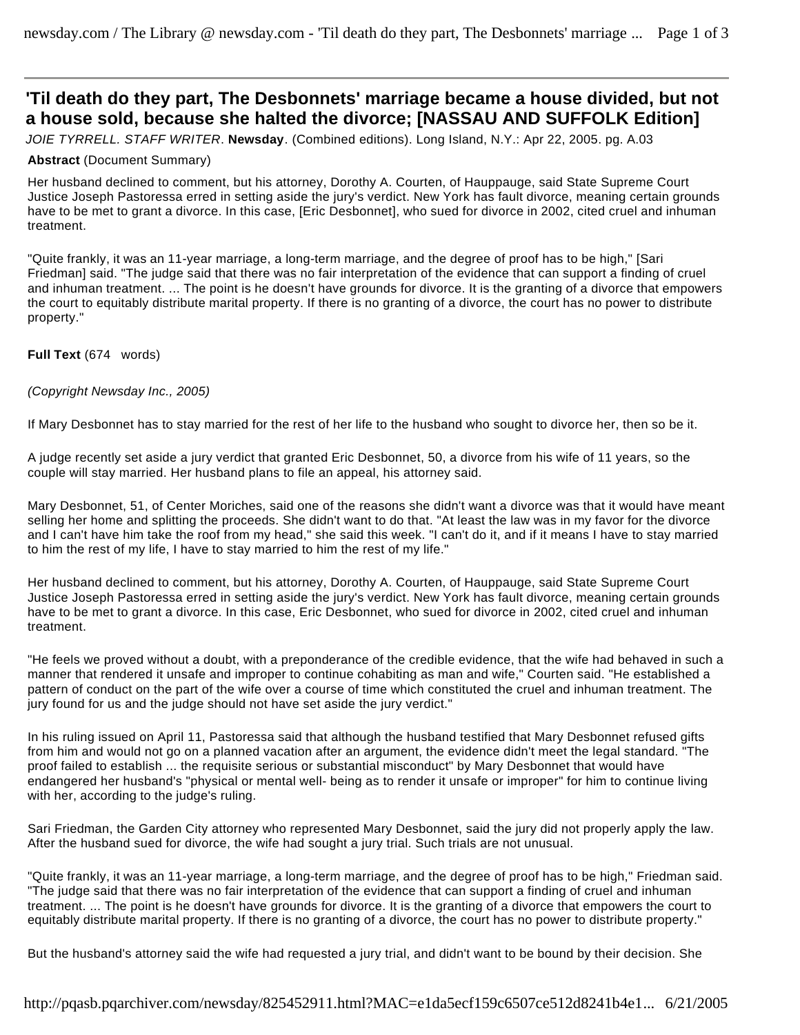# **'Til death do they part, The Desbonnets' marriage became a house divided, but not a house sold, because she halted the divorce; [NASSAU AND SUFFOLK Edition]**

*JOIE TYRRELL. STAFF WRITER*. **Newsday**. (Combined editions). Long Island, N.Y.: Apr 22, 2005. pg. A.03

## **Abstract** (Document Summary)

Her husband declined to comment, but his attorney, Dorothy A. Courten, of Hauppauge, said State Supreme Court Justice Joseph Pastoressa erred in setting aside the jury's verdict. New York has fault divorce, meaning certain grounds have to be met to grant a divorce. In this case, [Eric Desbonnet], who sued for divorce in 2002, cited cruel and inhuman treatment.

"Quite frankly, it was an 11-year marriage, a long-term marriage, and the degree of proof has to be high," [Sari Friedman] said. "The judge said that there was no fair interpretation of the evidence that can support a finding of cruel and inhuman treatment. ... The point is he doesn't have grounds for divorce. It is the granting of a divorce that empowers the court to equitably distribute marital property. If there is no granting of a divorce, the court has no power to distribute property."

## **Full Text** (674 words)

## *(Copyright Newsday Inc., 2005)*

If Mary Desbonnet has to stay married for the rest of her life to the husband who sought to divorce her, then so be it.

A judge recently set aside a jury verdict that granted Eric Desbonnet, 50, a divorce from his wife of 11 years, so the couple will stay married. Her husband plans to file an appeal, his attorney said.

Mary Desbonnet, 51, of Center Moriches, said one of the reasons she didn't want a divorce was that it would have meant selling her home and splitting the proceeds. She didn't want to do that. "At least the law was in my favor for the divorce and I can't have him take the roof from my head," she said this week. "I can't do it, and if it means I have to stay married to him the rest of my life, I have to stay married to him the rest of my life."

Her husband declined to comment, but his attorney, Dorothy A. Courten, of Hauppauge, said State Supreme Court Justice Joseph Pastoressa erred in setting aside the jury's verdict. New York has fault divorce, meaning certain grounds have to be met to grant a divorce. In this case, Eric Desbonnet, who sued for divorce in 2002, cited cruel and inhuman treatment.

"He feels we proved without a doubt, with a preponderance of the credible evidence, that the wife had behaved in such a manner that rendered it unsafe and improper to continue cohabiting as man and wife," Courten said. "He established a pattern of conduct on the part of the wife over a course of time which constituted the cruel and inhuman treatment. The jury found for us and the judge should not have set aside the jury verdict."

In his ruling issued on April 11, Pastoressa said that although the husband testified that Mary Desbonnet refused gifts from him and would not go on a planned vacation after an argument, the evidence didn't meet the legal standard. "The proof failed to establish ... the requisite serious or substantial misconduct" by Mary Desbonnet that would have endangered her husband's "physical or mental well- being as to render it unsafe or improper" for him to continue living with her, according to the judge's ruling.

Sari Friedman, the Garden City attorney who represented Mary Desbonnet, said the jury did not properly apply the law. After the husband sued for divorce, the wife had sought a jury trial. Such trials are not unusual.

"Quite frankly, it was an 11-year marriage, a long-term marriage, and the degree of proof has to be high," Friedman said. "The judge said that there was no fair interpretation of the evidence that can support a finding of cruel and inhuman treatment. ... The point is he doesn't have grounds for divorce. It is the granting of a divorce that empowers the court to equitably distribute marital property. If there is no granting of a divorce, the court has no power to distribute property."

But the husband's attorney said the wife had requested a jury trial, and didn't want to be bound by their decision. She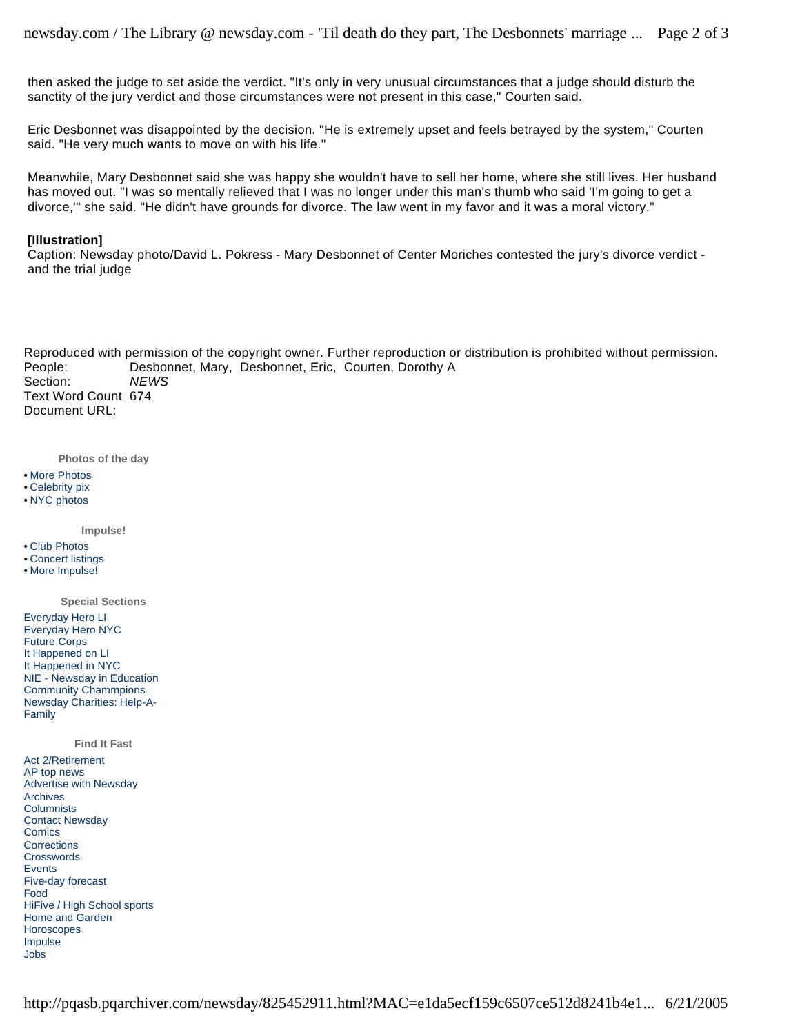then asked the judge to set aside the verdict. "It's only in very unusual circumstances that a judge should disturb the sanctity of the jury verdict and those circumstances were not present in this case," Courten said.

Eric Desbonnet was disappointed by the decision. "He is extremely upset and feels betrayed by the system," Courten said. "He very much wants to move on with his life."

Meanwhile, Mary Desbonnet said she was happy she wouldn't have to sell her home, where she still lives. Her husband has moved out. "I was so mentally relieved that I was no longer under this man's thumb who said 'I'm going to get a divorce,'" she said. "He didn't have grounds for divorce. The law went in my favor and it was a moral victory."

### **[Illustration]**

Caption: Newsday photo/David L. Pokress - Mary Desbonnet of Center Moriches contested the jury's divorce verdict and the trial judge

Reproduced with permission of the copyright owner. Further reproduction or distribution is prohibited without permission. People: Desbonnet, Mary, Desbonnet, Eric, Courten, Dorothy A Section: *NEWS* Text Word Count 674 Document URL:

**Photos of the day**

- More Photos
- Celebrity pix
- NYC photos

**Impulse!**

- Club Photos
- Concert listings
- More Impulse!
- Everyday Hero LI Everyday Hero NYC Future Corps It Happened on LI It Happened in NYC NIE - Newsday in Education Community Chammpions Newsday Charities: Help-A-Family **Special Sections**

**Find It Fast**

Act 2/Retirement AP top news Advertise with Newsday Archives **Columnists** Contact Newsday **Comics Corrections Crosswords** Events Five-day forecast Food HiFive / High School sports Home and Garden **Horoscopes** Impulse Jobs